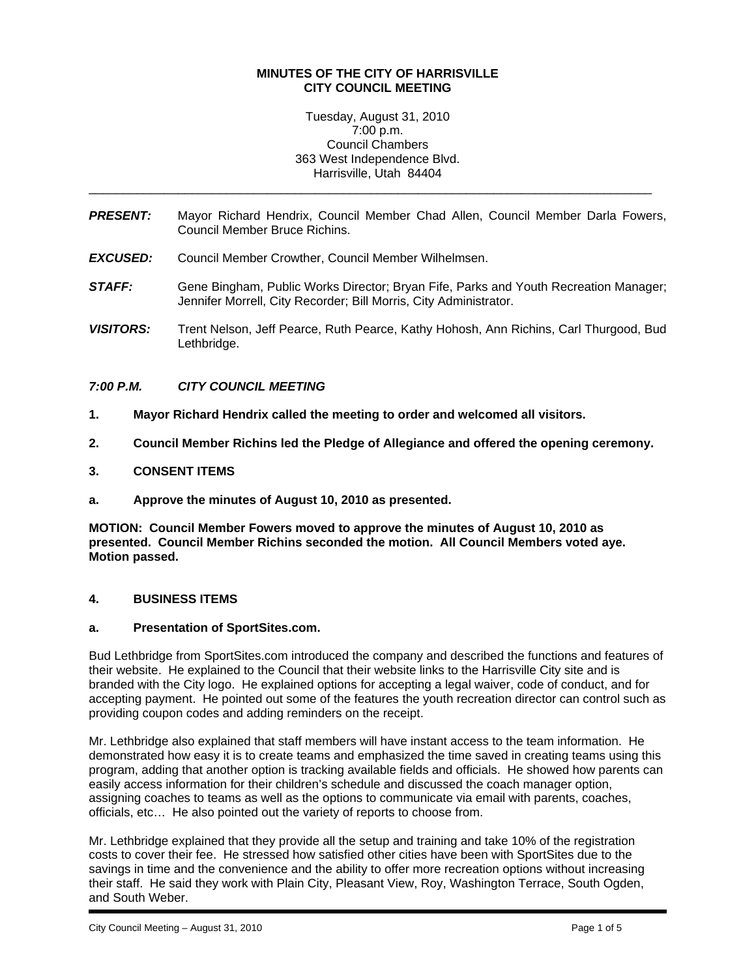### **MINUTES OF THE CITY OF HARRISVILLE CITY COUNCIL MEETING**

Tuesday, August 31, 2010 7:00 p.m. Council Chambers 363 West Independence Blvd. Harrisville, Utah 84404

*PRESENT:* Mayor Richard Hendrix, Council Member Chad Allen, Council Member Darla Fowers, Council Member Bruce Richins.

\_\_\_\_\_\_\_\_\_\_\_\_\_\_\_\_\_\_\_\_\_\_\_\_\_\_\_\_\_\_\_\_\_\_\_\_\_\_\_\_\_\_\_\_\_\_\_\_\_\_\_\_\_\_\_\_\_\_\_\_\_\_\_\_\_\_\_\_\_\_\_\_\_\_\_\_\_\_\_\_\_\_

- *EXCUSED:* Council Member Crowther, Council Member Wilhelmsen.
- **STAFF:** Gene Bingham, Public Works Director; Bryan Fife, Parks and Youth Recreation Manager; Jennifer Morrell, City Recorder; Bill Morris, City Administrator.
- *VISITORS:* Trent Nelson, Jeff Pearce, Ruth Pearce, Kathy Hohosh, Ann Richins, Carl Thurgood, Bud Lethbridge.

# *7:00 P.M. CITY COUNCIL MEETING*

- **1. Mayor Richard Hendrix called the meeting to order and welcomed all visitors.**
- **2. Council Member Richins led the Pledge of Allegiance and offered the opening ceremony.**

# **3. CONSENT ITEMS**

**a. Approve the minutes of August 10, 2010 as presented.** 

**MOTION: Council Member Fowers moved to approve the minutes of August 10, 2010 as presented. Council Member Richins seconded the motion. All Council Members voted aye. Motion passed.** 

### **4. BUSINESS ITEMS**

### **a. Presentation of SportSites.com.**

Bud Lethbridge from SportSites.com introduced the company and described the functions and features of their website. He explained to the Council that their website links to the Harrisville City site and is branded with the City logo. He explained options for accepting a legal waiver, code of conduct, and for accepting payment. He pointed out some of the features the youth recreation director can control such as providing coupon codes and adding reminders on the receipt.

Mr. Lethbridge also explained that staff members will have instant access to the team information. He demonstrated how easy it is to create teams and emphasized the time saved in creating teams using this program, adding that another option is tracking available fields and officials. He showed how parents can easily access information for their children's schedule and discussed the coach manager option, assigning coaches to teams as well as the options to communicate via email with parents, coaches, officials, etc… He also pointed out the variety of reports to choose from.

Mr. Lethbridge explained that they provide all the setup and training and take 10% of the registration costs to cover their fee. He stressed how satisfied other cities have been with SportSites due to the savings in time and the convenience and the ability to offer more recreation options without increasing their staff. He said they work with Plain City, Pleasant View, Roy, Washington Terrace, South Ogden, and South Weber.

i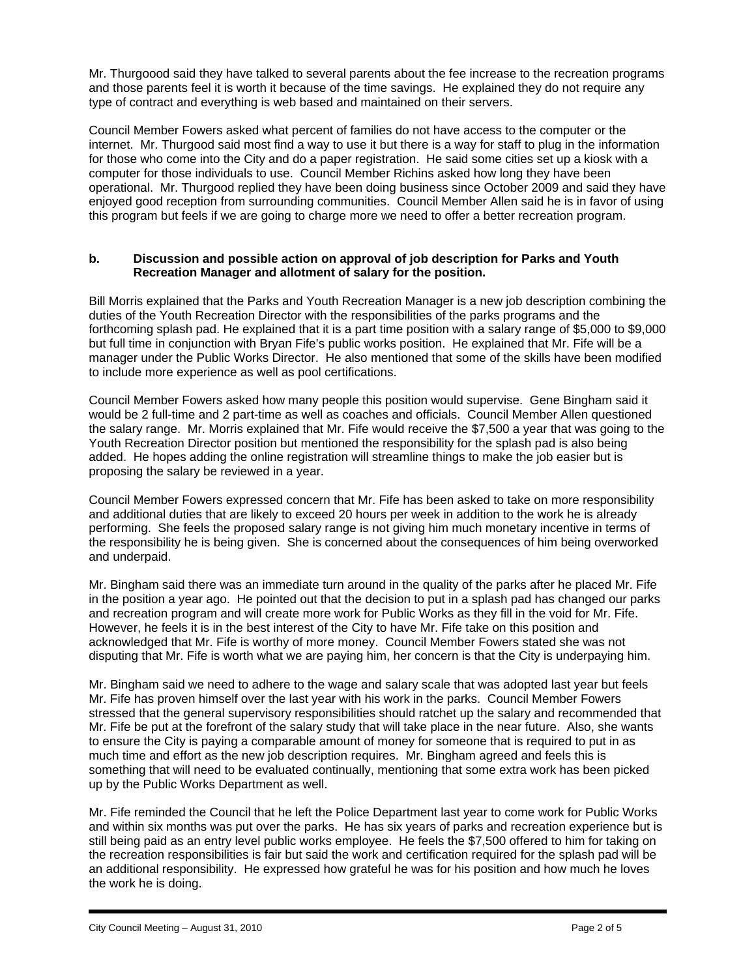Mr. Thurgoood said they have talked to several parents about the fee increase to the recreation programs and those parents feel it is worth it because of the time savings. He explained they do not require any type of contract and everything is web based and maintained on their servers.

Council Member Fowers asked what percent of families do not have access to the computer or the internet. Mr. Thurgood said most find a way to use it but there is a way for staff to plug in the information for those who come into the City and do a paper registration. He said some cities set up a kiosk with a computer for those individuals to use. Council Member Richins asked how long they have been operational. Mr. Thurgood replied they have been doing business since October 2009 and said they have enjoyed good reception from surrounding communities. Council Member Allen said he is in favor of using this program but feels if we are going to charge more we need to offer a better recreation program.

# **b. Discussion and possible action on approval of job description for Parks and Youth Recreation Manager and allotment of salary for the position.**

Bill Morris explained that the Parks and Youth Recreation Manager is a new job description combining the duties of the Youth Recreation Director with the responsibilities of the parks programs and the forthcoming splash pad. He explained that it is a part time position with a salary range of \$5,000 to \$9,000 but full time in conjunction with Bryan Fife's public works position. He explained that Mr. Fife will be a manager under the Public Works Director. He also mentioned that some of the skills have been modified to include more experience as well as pool certifications.

Council Member Fowers asked how many people this position would supervise. Gene Bingham said it would be 2 full-time and 2 part-time as well as coaches and officials. Council Member Allen questioned the salary range. Mr. Morris explained that Mr. Fife would receive the \$7,500 a year that was going to the Youth Recreation Director position but mentioned the responsibility for the splash pad is also being added. He hopes adding the online registration will streamline things to make the job easier but is proposing the salary be reviewed in a year.

Council Member Fowers expressed concern that Mr. Fife has been asked to take on more responsibility and additional duties that are likely to exceed 20 hours per week in addition to the work he is already performing. She feels the proposed salary range is not giving him much monetary incentive in terms of the responsibility he is being given. She is concerned about the consequences of him being overworked and underpaid.

Mr. Bingham said there was an immediate turn around in the quality of the parks after he placed Mr. Fife in the position a year ago. He pointed out that the decision to put in a splash pad has changed our parks and recreation program and will create more work for Public Works as they fill in the void for Mr. Fife. However, he feels it is in the best interest of the City to have Mr. Fife take on this position and acknowledged that Mr. Fife is worthy of more money. Council Member Fowers stated she was not disputing that Mr. Fife is worth what we are paying him, her concern is that the City is underpaying him.

Mr. Bingham said we need to adhere to the wage and salary scale that was adopted last year but feels Mr. Fife has proven himself over the last year with his work in the parks. Council Member Fowers stressed that the general supervisory responsibilities should ratchet up the salary and recommended that Mr. Fife be put at the forefront of the salary study that will take place in the near future. Also, she wants to ensure the City is paying a comparable amount of money for someone that is required to put in as much time and effort as the new job description requires. Mr. Bingham agreed and feels this is something that will need to be evaluated continually, mentioning that some extra work has been picked up by the Public Works Department as well.

Mr. Fife reminded the Council that he left the Police Department last year to come work for Public Works and within six months was put over the parks. He has six years of parks and recreation experience but is still being paid as an entry level public works employee. He feels the \$7,500 offered to him for taking on the recreation responsibilities is fair but said the work and certification required for the splash pad will be an additional responsibility. He expressed how grateful he was for his position and how much he loves the work he is doing.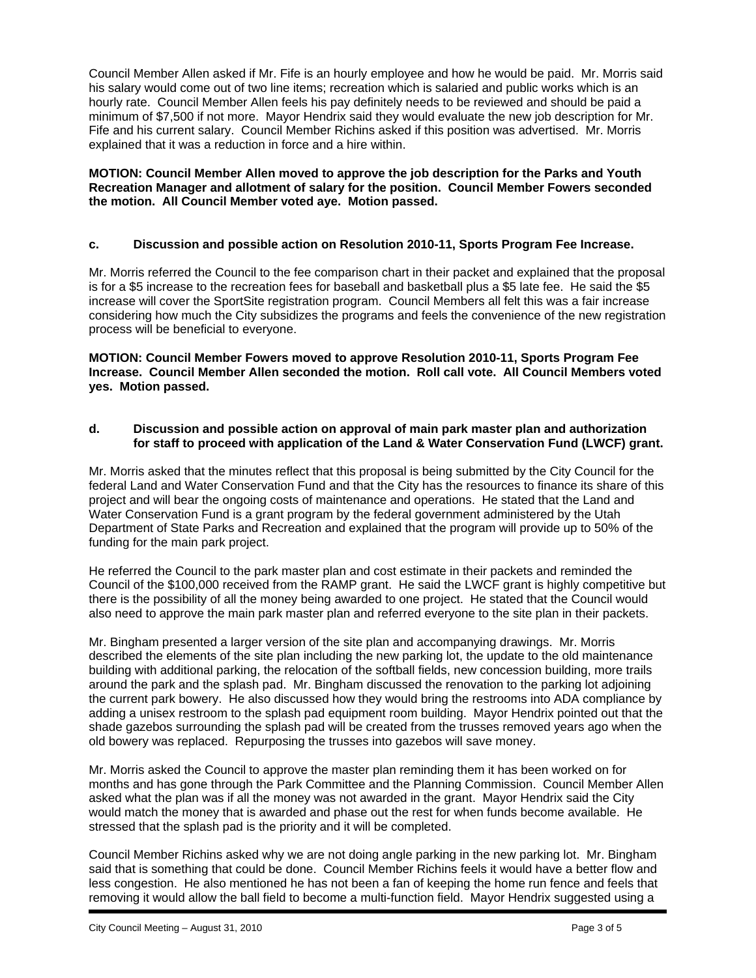Council Member Allen asked if Mr. Fife is an hourly employee and how he would be paid. Mr. Morris said his salary would come out of two line items; recreation which is salaried and public works which is an hourly rate. Council Member Allen feels his pay definitely needs to be reviewed and should be paid a minimum of \$7,500 if not more. Mayor Hendrix said they would evaluate the new job description for Mr. Fife and his current salary. Council Member Richins asked if this position was advertised. Mr. Morris explained that it was a reduction in force and a hire within.

### **MOTION: Council Member Allen moved to approve the job description for the Parks and Youth Recreation Manager and allotment of salary for the position. Council Member Fowers seconded the motion. All Council Member voted aye. Motion passed.**

# **c. Discussion and possible action on Resolution 2010-11, Sports Program Fee Increase.**

Mr. Morris referred the Council to the fee comparison chart in their packet and explained that the proposal is for a \$5 increase to the recreation fees for baseball and basketball plus a \$5 late fee. He said the \$5 increase will cover the SportSite registration program. Council Members all felt this was a fair increase considering how much the City subsidizes the programs and feels the convenience of the new registration process will be beneficial to everyone.

**MOTION: Council Member Fowers moved to approve Resolution 2010-11, Sports Program Fee Increase. Council Member Allen seconded the motion. Roll call vote. All Council Members voted yes. Motion passed.** 

### **d. Discussion and possible action on approval of main park master plan and authorization for staff to proceed with application of the Land & Water Conservation Fund (LWCF) grant.**

Mr. Morris asked that the minutes reflect that this proposal is being submitted by the City Council for the federal Land and Water Conservation Fund and that the City has the resources to finance its share of this project and will bear the ongoing costs of maintenance and operations. He stated that the Land and Water Conservation Fund is a grant program by the federal government administered by the Utah Department of State Parks and Recreation and explained that the program will provide up to 50% of the funding for the main park project.

He referred the Council to the park master plan and cost estimate in their packets and reminded the Council of the \$100,000 received from the RAMP grant. He said the LWCF grant is highly competitive but there is the possibility of all the money being awarded to one project. He stated that the Council would also need to approve the main park master plan and referred everyone to the site plan in their packets.

Mr. Bingham presented a larger version of the site plan and accompanying drawings. Mr. Morris described the elements of the site plan including the new parking lot, the update to the old maintenance building with additional parking, the relocation of the softball fields, new concession building, more trails around the park and the splash pad. Mr. Bingham discussed the renovation to the parking lot adjoining the current park bowery. He also discussed how they would bring the restrooms into ADA compliance by adding a unisex restroom to the splash pad equipment room building. Mayor Hendrix pointed out that the shade gazebos surrounding the splash pad will be created from the trusses removed years ago when the old bowery was replaced. Repurposing the trusses into gazebos will save money.

Mr. Morris asked the Council to approve the master plan reminding them it has been worked on for months and has gone through the Park Committee and the Planning Commission. Council Member Allen asked what the plan was if all the money was not awarded in the grant. Mayor Hendrix said the City would match the money that is awarded and phase out the rest for when funds become available. He stressed that the splash pad is the priority and it will be completed.

Council Member Richins asked why we are not doing angle parking in the new parking lot. Mr. Bingham said that is something that could be done. Council Member Richins feels it would have a better flow and less congestion. He also mentioned he has not been a fan of keeping the home run fence and feels that removing it would allow the ball field to become a multi-function field. Mayor Hendrix suggested using a

i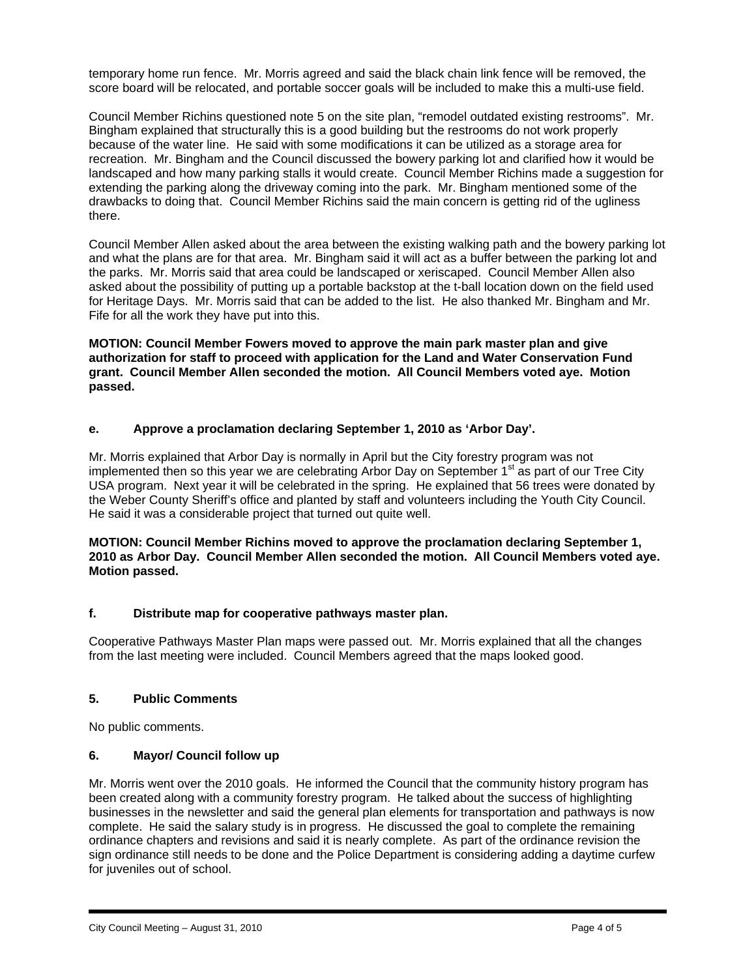temporary home run fence. Mr. Morris agreed and said the black chain link fence will be removed, the score board will be relocated, and portable soccer goals will be included to make this a multi-use field.

Council Member Richins questioned note 5 on the site plan, "remodel outdated existing restrooms". Mr. Bingham explained that structurally this is a good building but the restrooms do not work properly because of the water line. He said with some modifications it can be utilized as a storage area for recreation. Mr. Bingham and the Council discussed the bowery parking lot and clarified how it would be landscaped and how many parking stalls it would create. Council Member Richins made a suggestion for extending the parking along the driveway coming into the park. Mr. Bingham mentioned some of the drawbacks to doing that. Council Member Richins said the main concern is getting rid of the ugliness there.

Council Member Allen asked about the area between the existing walking path and the bowery parking lot and what the plans are for that area. Mr. Bingham said it will act as a buffer between the parking lot and the parks. Mr. Morris said that area could be landscaped or xeriscaped. Council Member Allen also asked about the possibility of putting up a portable backstop at the t-ball location down on the field used for Heritage Days. Mr. Morris said that can be added to the list. He also thanked Mr. Bingham and Mr. Fife for all the work they have put into this.

**MOTION: Council Member Fowers moved to approve the main park master plan and give authorization for staff to proceed with application for the Land and Water Conservation Fund grant. Council Member Allen seconded the motion. All Council Members voted aye. Motion passed.** 

# **e. Approve a proclamation declaring September 1, 2010 as 'Arbor Day'.**

Mr. Morris explained that Arbor Day is normally in April but the City forestry program was not implemented then so this year we are celebrating Arbor Day on September 1<sup>st</sup> as part of our Tree City USA program. Next year it will be celebrated in the spring. He explained that 56 trees were donated by the Weber County Sheriff's office and planted by staff and volunteers including the Youth City Council. He said it was a considerable project that turned out quite well.

**MOTION: Council Member Richins moved to approve the proclamation declaring September 1, 2010 as Arbor Day. Council Member Allen seconded the motion. All Council Members voted aye. Motion passed.** 

### **f. Distribute map for cooperative pathways master plan.**

Cooperative Pathways Master Plan maps were passed out. Mr. Morris explained that all the changes from the last meeting were included. Council Members agreed that the maps looked good.

### **5. Public Comments**

No public comments.

### **6. Mayor/ Council follow up**

Mr. Morris went over the 2010 goals. He informed the Council that the community history program has been created along with a community forestry program. He talked about the success of highlighting businesses in the newsletter and said the general plan elements for transportation and pathways is now complete. He said the salary study is in progress. He discussed the goal to complete the remaining ordinance chapters and revisions and said it is nearly complete. As part of the ordinance revision the sign ordinance still needs to be done and the Police Department is considering adding a daytime curfew for juveniles out of school.

i